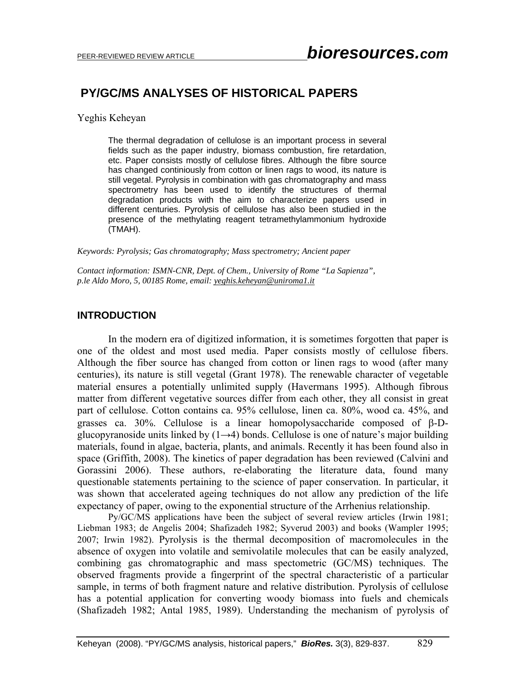# **PY/GC/MS ANALYSES OF HISTORICAL PAPERS**

Yeghis Keheyan

The thermal degradation of cellulose is an important process in several fields such as the paper industry, biomass combustion, fire retardation, etc. Paper consists mostly of cellulose fibres. Although the fibre source has changed continiously from cotton or linen rags to wood, its nature is still vegetal. Pyrolysis in combination with gas chromatography and mass spectrometry has been used to identify the structures of thermal degradation products with the aim to characterize papers used in different centuries. Pyrolysis of cellulose has also been studied in the presence of the methylating reagent tetramethylammonium hydroxide (TMAH).

*Keywords: Pyrolysis; Gas chromatography; Mass spectrometry; Ancient paper* 

*Contact information: ISMN-CNR, Dept. of Chem., University of Rome "La Sapienza", p.le Aldo Moro, 5, 00185 Rome, email: yeghis.keheyan@uniroma1.it*

### **INTRODUCTION**

In the modern era of digitized information, it is sometimes forgotten that paper is one of the oldest and most used media. Paper consists mostly of cellulose fibers. Although the fiber source has changed from cotton or linen rags to wood (after many centuries), its nature is still vegetal (Grant 1978). The renewable character of vegetable material ensures a potentially unlimited supply (Havermans 1995). Although fibrous matter from different vegetative sources differ from each other, they all consist in great part of cellulose. Cotton contains ca. 95% cellulose, linen ca. 80%, wood ca. 45%, and grasses ca. 30%. Cellulose is a linear homopolysaccharide composed of β-Dglucopyranoside units linked by  $(1\rightarrow 4)$  bonds. Cellulose is one of nature's major building materials, found in algae, bacteria, plants, and animals. Recently it has been found also in space (Griffith, 2008). The kinetics of paper degradation has been reviewed (Calvini and Gorassini 2006). These authors, re-elaborating the literature data, found many questionable statements pertaining to the science of paper conservation. In particular, it was shown that accelerated ageing techniques do not allow any prediction of the life expectancy of paper, owing to the exponential structure of the Arrhenius relationship.

Py/GC/MS applications have been the subject of several review articles (Irwin 1981; Liebman 1983; de Angelis 2004; Shafizadeh 1982; Syverud 2003) and books (Wampler 1995; 2007; Irwin 1982). Pyrolysis is the thermal decomposition of macromolecules in the absence of oxygen into volatile and semivolatile molecules that can be easily analyzed, combining gas chromatographic and mass spectometric (GC/MS) techniques. The observed fragments provide a fingerprint of the spectral characteristic of a particular sample, in terms of both fragment nature and relative distribution. Pyrolysis of cellulose has a potential application for converting woody biomass into fuels and chemicals (Shafizadeh 1982; Antal 1985, 1989). Understanding the mechanism of pyrolysis of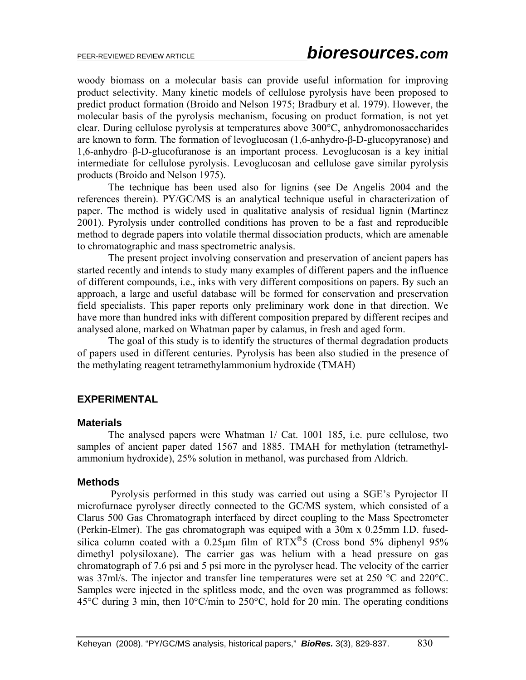woody biomass on a molecular basis can provide useful information for improving product selectivity. Many kinetic models of cellulose pyrolysis have been proposed to predict product formation (Broido and Nelson 1975; Bradbury et al. 1979). However, the molecular basis of the pyrolysis mechanism, focusing on product formation, is not yet clear. During cellulose pyrolysis at temperatures above 300°C, anhydromonosaccharides are known to form. The formation of levoglucosan (1,6-anhydro-β-D-glucopyranose) and 1,6-anhydro–β-D-glucofuranose is an important process. Levoglucosan is a key initial intermediate for cellulose pyrolysis. Levoglucosan and cellulose gave similar pyrolysis products (Broido and Nelson 1975).

The technique has been used also for lignins (see De Angelis 2004 and the references therein). PY/GC/MS is an analytical technique useful in characterization of paper. The method is widely used in qualitative analysis of residual lignin (Martinez 2001). Pyrolysis under controlled conditions has proven to be a fast and reproducible method to degrade papers into volatile thermal dissociation products, which are amenable to chromatographic and mass spectrometric analysis.

 The present project involving conservation and preservation of ancient papers has started recently and intends to study many examples of different papers and the influence of different compounds, i.e., inks with very different compositions on papers. By such an approach, a large and useful database will be formed for conservation and preservation field specialists. This paper reports only preliminary work done in that direction. We have more than hundred inks with different composition prepared by different recipes and analysed alone, marked on Whatman paper by calamus, in fresh and aged form.

 The goal of this study is to identify the structures of thermal degradation products of papers used in different centuries. Pyrolysis has been also studied in the presence of the methylating reagent tetramethylammonium hydroxide (TMAH)

### **EXPERIMENTAL**

### **Materials**

The analysed papers were Whatman 1/ Cat. 1001 185, i.e. pure cellulose, two samples of ancient paper dated 1567 and 1885. TMAH for methylation (tetramethylammonium hydroxide), 25% solution in methanol, was purchased from Aldrich.

### **Methods**

 Pyrolysis performed in this study was carried out using a SGE's Pyrojector II microfurnace pyrolyser directly connected to the GC/MS system, which consisted of a Clarus 500 Gas Chromatograph interfaced by direct coupling to the Mass Spectrometer (Perkin-Elmer). The gas chromatograph was equiped with a 30m x 0.25mm I.D. fusedsilica column coated with a 0.25 km film of  $RTX^{\otimes}5$  (Cross bond 5% diphenyl 95% dimethyl polysiloxane). The carrier gas was helium with a head pressure on gas chromatograph of 7.6 psi and 5 psi more in the pyrolyser head. The velocity of the carrier was 37ml/s. The injector and transfer line temperatures were set at 250 °C and 220°C. Samples were injected in the splitless mode, and the oven was programmed as follows: 45°C during 3 min, then 10°C/min to 250°C, hold for 20 min. The operating conditions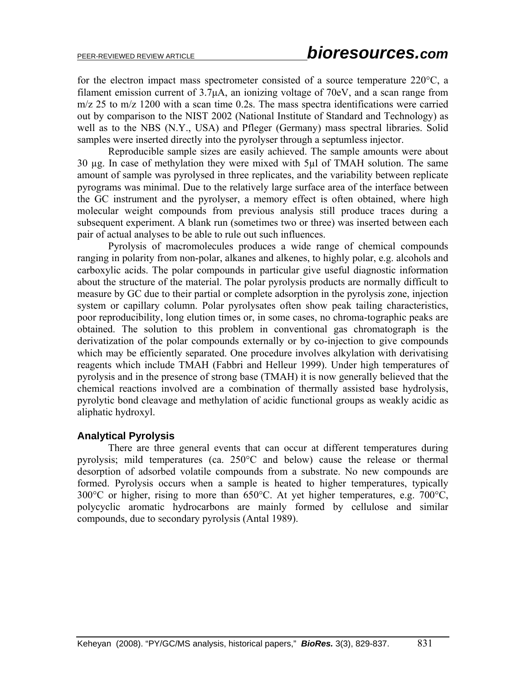for the electron impact mass spectrometer consisted of a source temperature 220°C, a filament emission current of 3.7μA, an ionizing voltage of 70eV, and a scan range from m/z 25 to m/z 1200 with a scan time 0.2s. The mass spectra identifications were carried out by comparison to the NIST 2002 (National Institute of Standard and Technology) as well as to the NBS (N.Y., USA) and Pfleger (Germany) mass spectral libraries. Solid samples were inserted directly into the pyrolyser through a septumless injector.

Reproducible sample sizes are easily achieved. The sample amounts were about 30 µg. In case of methylation they were mixed with 5µl of TMAH solution. The same amount of sample was pyrolysed in three replicates, and the variability between replicate pyrograms was minimal. Due to the relatively large surface area of the interface between the GC instrument and the pyrolyser, a memory effect is often obtained, where high molecular weight compounds from previous analysis still produce traces during a subsequent experiment. A blank run (sometimes two or three) was inserted between each pair of actual analyses to be able to rule out such influences.

Pyrolysis of macromolecules produces a wide range of chemical compounds ranging in polarity from non-polar, alkanes and alkenes, to highly polar, e.g. alcohols and carboxylic acids. The polar compounds in particular give useful diagnostic information about the structure of the material. The polar pyrolysis products are normally difficult to measure by GC due to their partial or complete adsorption in the pyrolysis zone, injection system or capillary column. Polar pyrolysates often show peak tailing characteristics, poor reproducibility, long elution times or, in some cases, no chroma-tographic peaks are obtained. The solution to this problem in conventional gas chromatograph is the derivatization of the polar compounds externally or by co-injection to give compounds which may be efficiently separated. One procedure involves alkylation with derivatising reagents which include TMAH (Fabbri and Helleur 1999). Under high temperatures of pyrolysis and in the presence of strong base (TMAH) it is now generally believed that the chemical reactions involved are a combination of thermally assisted base hydrolysis, pyrolytic bond cleavage and methylation of acidic functional groups as weakly acidic as aliphatic hydroxyl.

## **Analytical Pyrolysis**

There are three general events that can occur at different temperatures during pyrolysis; mild temperatures (ca. 250°C and below) cause the release or thermal desorption of adsorbed volatile compounds from a substrate. No new compounds are formed. Pyrolysis occurs when a sample is heated to higher temperatures, typically 300°C or higher, rising to more than 650°C. At yet higher temperatures, e.g. 700°C, polycyclic aromatic hydrocarbons are mainly formed by cellulose and similar compounds, due to secondary pyrolysis (Antal 1989).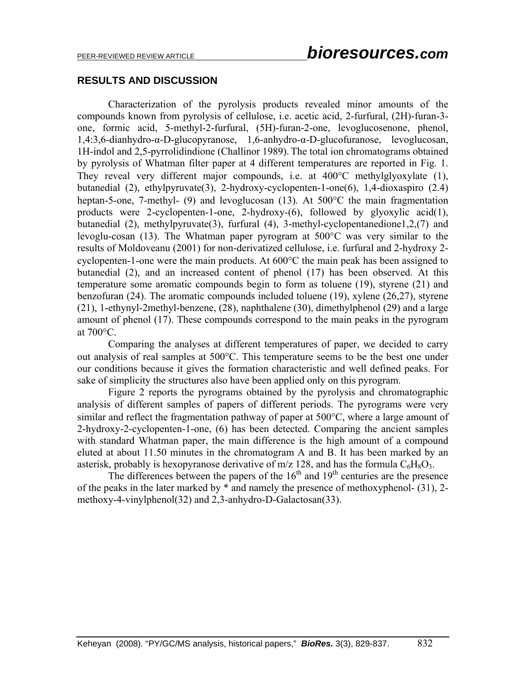### **RESULTS AND DISCUSSION**

Characterization of the pyrolysis products revealed minor amounts of the compounds known from pyrolysis of cellulose, i.e. acetic acid, 2-furfural, (2H)-furan-3 one, formic acid, 5-methyl-2-furfural, (5H)-furan-2-one, levoglucosenone, phenol, 1,4:3,6-dianhydro-α-D-glucopyranose, 1,6-anhydro-α-D-glucofuranose, levoglucosan, 1H-indol and 2,5-pyrrolidindione (Challinor 1989). The total ion chromatograms obtained by pyrolysis of Whatman filter paper at 4 different temperatures are reported in Fig. 1. They reveal very different major compounds, i.e. at 400°C methylglyoxylate (1), butanedial (2), ethylpyruvate(3), 2-hydroxy-cyclopenten-1-one(6), 1,4-dioxaspiro (2.4) heptan-5-one, 7-methyl- (9) and levoglucosan (13). At 500°C the main fragmentation products were 2-cyclopenten-1-one, 2-hydroxy-(6), followed by glyoxylic acid(1), butanedial (2), methylpyruvate(3), furfural (4), 3-methyl-cyclopentanedione1,2,(7) and levoglu-cosan (13). The Whatman paper pyrogram at 500°C was very similar to the results of Moldoveanu (2001) for non-derivatized cellulose, i.e. furfural and 2-hydroxy 2 cyclopenten-1-one were the main products. At 600°C the main peak has been assigned to butanedial (2), and an increased content of phenol (17) has been observed. At this temperature some aromatic compounds begin to form as toluene (19), styrene (21) and benzofuran (24). The aromatic compounds included toluene (19), xylene (26,27), styrene (21), 1-ethynyl-2methyl-benzene, (28), naphthalene (30), dimethylphenol (29) and a large amount of phenol (17). These compounds correspond to the main peaks in the pyrogram at 700°C.

Comparing the analyses at different temperatures of paper, we decided to carry out analysis of real samples at 500°C. This temperature seems to be the best one under our conditions because it gives the formation characteristic and well defined peaks. For sake of simplicity the structures also have been applied only on this pyrogram.

Figure 2 reports the pyrograms obtained by the pyrolysis and chromatographic analysis of different samples of papers of different periods. The pyrograms were very similar and reflect the fragmentation pathway of paper at 500°C, where a large amount of 2-hydroxy-2-cyclopenten-1-one, (6) has been detected. Comparing the ancient samples with standard Whatman paper, the main difference is the high amount of a compound eluted at about 11.50 minutes in the chromatogram A and B. It has been marked by an asterisk, probably is hexopyranose derivative of  $m/z$  128, and has the formula  $C_6H_8O_3$ .

The differences between the papers of the  $16<sup>th</sup>$  and  $19<sup>th</sup>$  centuries are the presence of the peaks in the later marked by \* and namely the presence of methoxyphenol- (31), 2 methoxy-4-vinylphenol(32) and 2,3-anhydro-D-Galactosan(33).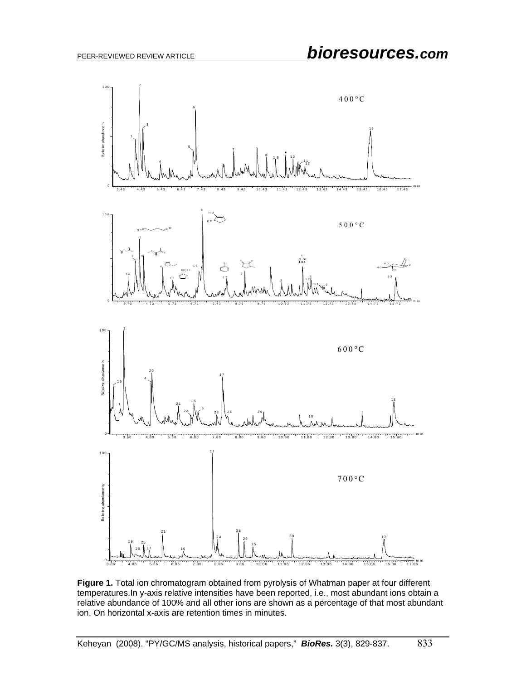

**Figure 1.** Total ion chromatogram obtained from pyrolysis of Whatman paper at four different temperatures.In y-axis relative intensities have been reported, i.e., most abundant ions obtain a relative abundance of 100% and all other ions are shown as a percentage of that most abundant ion. On horizontal x-axis are retention times in minutes.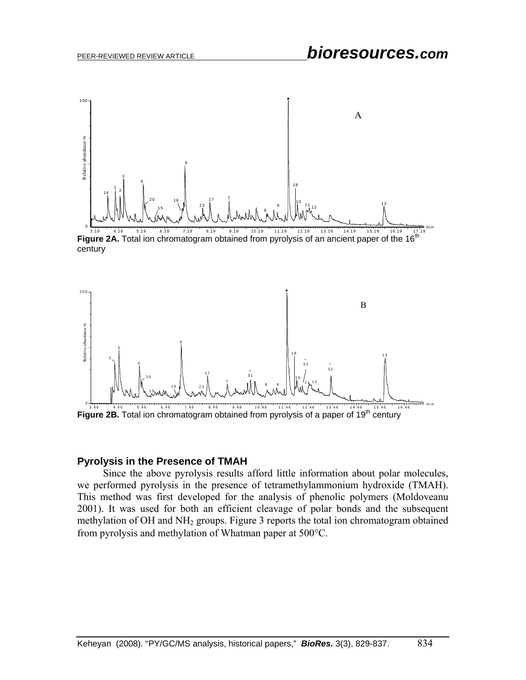

century



#### **Pyrolysis in the Presence of TMAH**

 Since the above pyrolysis results afford little information about polar molecules, we performed pyrolysis in the presence of tetramethylammonium hydroxide (TMAH). This method was first developed for the analysis of phenolic polymers (Moldoveanu 2001). It was used for both an efficient cleavage of polar bonds and the subsequent methylation of OH and NH2 groups. Figure 3 reports the total ion chromatogram obtained from pyrolysis and methylation of Whatman paper at 500°C.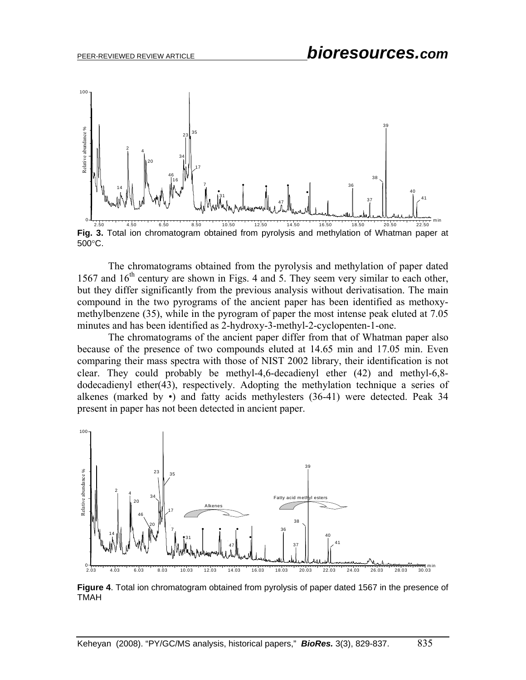

**Fig. 3.** Total ion chromatogram obtained from pyrolysis and methylation of Whatman paper at 500°C.

The chromatograms obtained from the pyrolysis and methylation of paper dated 1567 and 16<sup>th</sup> century are shown in Figs. 4 and 5. They seem very similar to each other, but they differ significantly from the previous analysis without derivatisation. The main compound in the two pyrograms of the ancient paper has been identified as methoxymethylbenzene (35), while in the pyrogram of paper the most intense peak eluted at 7.05 minutes and has been identified as 2-hydroxy-3-methyl-2-cyclopenten-1-one.

The chromatograms of the ancient paper differ from that of Whatman paper also because of the presence of two compounds eluted at 14.65 min and 17.05 min. Even comparing their mass spectra with those of NIST 2002 library, their identification is not clear. They could probably be methyl-4,6-decadienyl ether (42) and methyl-6,8 dodecadienyl ether(43), respectively. Adopting the methylation technique a series of alkenes (marked by •) and fatty acids methylesters (36-41) were detected. Peak 34 present in paper has not been detected in ancient paper.



**Figure 4**. Total ion chromatogram obtained from pyrolysis of paper dated 1567 in the presence of TMAH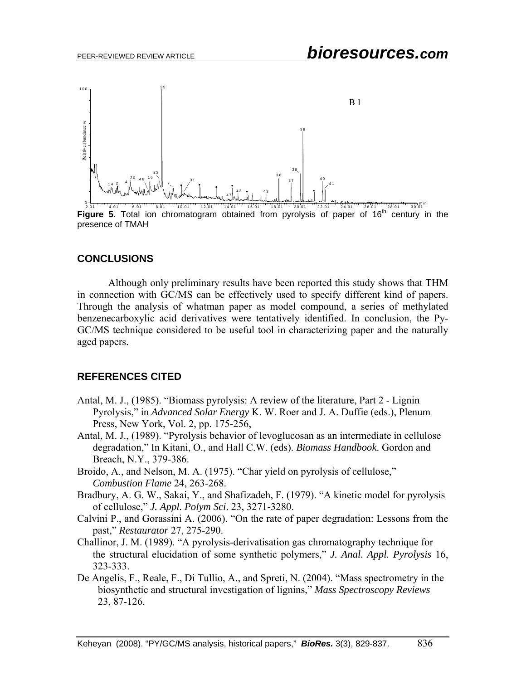

### **CONCLUSIONS**

Although only preliminary results have been reported this study shows that THM in connection with GC/MS can be effectively used to specify different kind of papers. Through the analysis of whatman paper as model compound, a series of methylated benzenecarboxylic acid derivatives were tentatively identified. In conclusion, the Py-GC/MS technique considered to be useful tool in characterizing paper and the naturally aged papers.

## **REFERENCES CITED**

- Antal, M. J., (1985). "Biomass pyrolysis: A review of the literature, Part 2 Lignin Pyrolysis," in *Advanced Solar Energy* K. W. Roer and J. A. Duffie (eds.), Plenum Press, New York, Vol. 2, pp. 175-256,
- Antal, M. J., (1989). "Pyrolysis behavior of levoglucosan as an intermediate in cellulose degradation," In Kitani, O., and Hall C.W. (eds). *Biomass Handbook*. Gordon and Breach, N.Y., 379-386.
- Broido, A., and Nelson, M. A. (1975). "Char yield on pyrolysis of cellulose," *Combustion Flame* 24, 263-268.
- Bradbury, A. G. W., Sakai, Y., and Shafizadeh, F. (1979). "A kinetic model for pyrolysis of cellulose," *J. Appl. Polym Sci*. 23, 3271-3280.
- Calvini P., and Gorassini A. (2006). "On the rate of paper degradation: Lessons from the past," *Restaurator* 27, 275-290.
- Challinor, J. M. (1989). "A pyrolysis-derivatisation gas chromatography technique for the structural elucidation of some synthetic polymers," *J. Anal. Appl. Pyrolysis* 16, 323-333.
- De Angelis, F., Reale, F., Di Tullio, A., and Spreti, N. (2004). "Mass spectrometry in the biosynthetic and structural investigation of lignins," *Mass Spectroscopy Reviews* 23, 87-126.